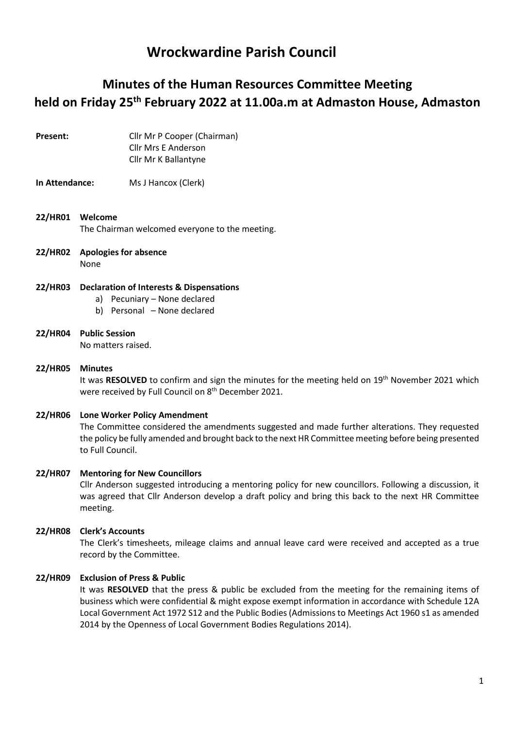# Wrockwardine Parish Council

# Minutes of the Human Resources Committee Meeting held on Friday 25th February 2022 at 11.00a.m at Admaston House, Admaston

Present: Cllr Mr P Cooper (Chairman) Cllr Mrs E Anderson Cllr Mr K Ballantyne

#### In Attendance: Ms J Hancox (Clerk)

- 22/HR01 Welcome The Chairman welcomed everyone to the meeting.
- 22/HR02 Apologies for absence None

### 22/HR03 Declaration of Interests & Dispensations

- a) Pecuniary None declared
- b) Personal None declared
- 22/HR04 Public Session No matters raised.

## 22/HR05 Minutes It was RESOLVED to confirm and sign the minutes for the meeting held on 19<sup>th</sup> November 2021 which were received by Full Council on 8<sup>th</sup> December 2021.

### 22/HR06 Lone Worker Policy Amendment

The Committee considered the amendments suggested and made further alterations. They requested the policy be fully amended and brought back to the next HR Committee meeting before being presented to Full Council.

#### 22/HR07 Mentoring for New Councillors

Cllr Anderson suggested introducing a mentoring policy for new councillors. Following a discussion, it was agreed that Cllr Anderson develop a draft policy and bring this back to the next HR Committee meeting.

#### 22/HR08 Clerk's Accounts

The Clerk's timesheets, mileage claims and annual leave card were received and accepted as a true record by the Committee.

#### 22/HR09 Exclusion of Press & Public

It was RESOLVED that the press & public be excluded from the meeting for the remaining items of business which were confidential & might expose exempt information in accordance with Schedule 12A Local Government Act 1972 S12 and the Public Bodies (Admissions to Meetings Act 1960 s1 as amended 2014 by the Openness of Local Government Bodies Regulations 2014).